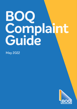# **BOQ Complaint Guide**

May 2022

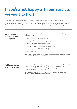# **If you're not happy with our service, we want to fix it**

We're always looking for ways to improve our service, and hearing from customers is a key part of that.

If we don't meet your expectations, we want you to tell us what happened and how we can improve what we do. By hearing your complaint and working with you to resolve it, we'll learn how to prevent it happening again.

### **What happens when you make a complaint**

If you make a complaint we'll take you through a simple process. Throughout this process we will:

- acknowledge your complaint promptly
- apologise if we've done something wrong
- listen and try to understand your concerns
- treat you with respect, sensitivity and compassion
- consider your complaint fairly and objectively
- act with integrity.

We're happy to help you at any time during the process with any specific needs you may have (see Extra support below).

| <b>Asking someone</b><br>to represent you | You can ask another person to manage your complaint for you, such as a family<br>member, lawyer or financial counsellor. You'll need to give them a written<br>authorisation so they can prove that they're acting for you. In some cases we<br>may still need to contact you directly. |
|-------------------------------------------|-----------------------------------------------------------------------------------------------------------------------------------------------------------------------------------------------------------------------------------------------------------------------------------------|
|                                           | You can locate the Authority Form at www.bog.com.au/feedback-and-                                                                                                                                                                                                                       |

You can locate the Authority Form at **[www.boq.com.au/feedback-and](http://www.boq.com.au/feedback-and-complaints)[complaints](http://www.boq.com.au/feedback-and-complaints)** or visit a branch to obtain a copy.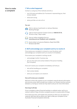# **How to make a complaint**

#### **1. Tell us what happened**

Contact us using any of the methods and tell us:

- your full name and address (or if someone is representing you, their contact details)
- what went wrong
- what you'd like us to do to fix it.

#### **You can:**

Visit or call your local branch, or call your Business Banking Manager



Call our local Customer Contact Centre on **1300 55 72 72**, 24 hours a day, 7 days a week

Use our online complaints form at **[www.boq.com.au/feedback-and-complaints](http://www.boq.com.au/feedback-and-complaints)**



Send a letter to Customer Relations, Reply Paid 2258, Brisbane Qld 4001.

#### **2. We'll acknowledge your complaint and try to resolve it**

If we receive your complaint in a branch or over the phone, we'll acknowledge your complaint and try to resolve it immediately.

If we receive your complaint in writing, we will:

- acknowledge it within 1 business day
- give you the name and contact details of the person handling your complaint.

If we can't resolve your complaint immediately, we'll tell you:

- who will be handling your complaint
- their contact details
- when you can expect us to resolve it.

#### **How we'll review your complaint**

We'll aim to find a fair solution to your complaint using all relevant information and common sense. We'll consider your conduct, our conduct and the contract between us. During our review we may need to ask you for more information.

#### **How long it will take**

If your complaint is about financial hardship or a default notice, we'll try to resolve it within 21 days. All other complaints we aim to resolve within 30 days.

If we need more time, we'll explain why and tell you when you can expect our response. We'll also tell you about your right to take your complaint to the Australian Financial Complaints Authority.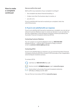# **How to make a complaint continued**

#### **How we confirm the result**

We'll confirm any resolution of your complaint in writing if:

- the complaint was about financial hardship, or
- it takes more than five business days to resolve, or
- you ask us to.

If you're satisfied with how we've resolved your complaint, that's the end of the process.

#### **3. If you're not satisfied with our response**

If you're not satisfied with how we've resolved your complaint, you can ask our internal Customer Relations team to review our decision or you can take it to the free, independent, external dispute resolution scheme provided by the Australian Financial Complaints Authority (AFCA).

#### **Contacting Customer Relations**

You can contact our Customer Relations team on **1800 663 080** between 8:30 am – 5:00 pm AEST, Monday to Friday or send an email to **[customer.relations@boq.com.au](mailto:customer.relations%40boq.com.au?subject=)**.

#### **Contacting AFCA**

If you're not satisfied with our response, you can ask the Australian Financial Complaints Authority (AFCA) to review it. AFCA provides a free, independent external dispute resolution process.

To contact AFCA:



**1 b** Call them on **1800 931 678** (free call)



Send an email to **[info@afca.org.au](mailto:info%40afca.org.au?subject=)** or go to **[www.afca.org.au](http://www.afca.org.au)**



Send a letter to Australian Financial Complaints Authority GPO Box 3, Melbourne VIC 3001

You can find out more about AFCA at **[www.afca.org.au](http://www.afca.org.au)**